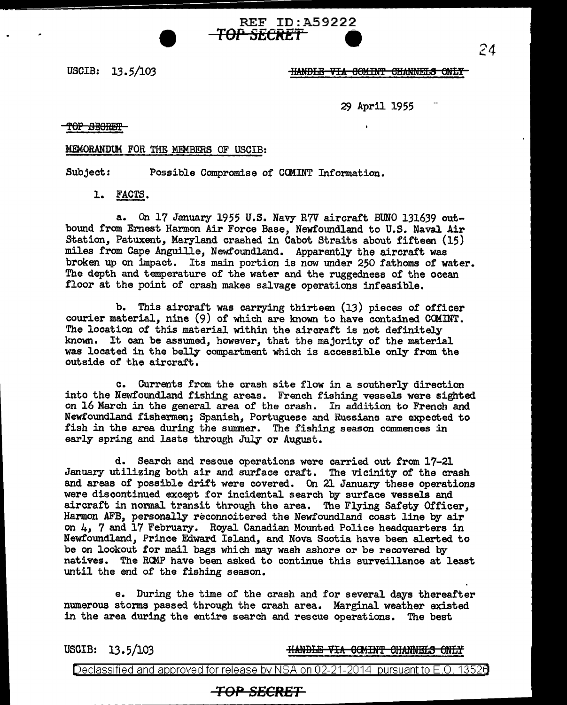USCIB: 13. 5/103

### **HANDLE VIA COMINT CHANNELS ONLY**

29 April 1955

TOP SECRET

### MEMORANDtM FOR THE MEMBERS OF USCIB:

Subject: Possible Compromise of COMINT Information.

1. FACTS.

a. On 17 January 1955 U.S. Navy R7V aircraft BUNO 131639 outbound from Ernest Harmon Air Force Base, Newfoundland to U.S. Naval Air Station, Patuxent, Maryland crashed in Cabot Straits about fifteen (15) miles from Cape Anguilla, Newfoundland. Apparently the aircraft was broken up on impact. Its main portion is now under 250 fathoms of water. The depth and temperature of the water and the ruggedness of the ocean floor at the point of crash makes salvage operations infeasible.

REF ID:A59222

**TOP SECRET 9** 

b. This aircraft was carrying thirteen (13) pieces of officer courier material, nine (9) of which are known to have contained COMINT. The location of this material within the aircraft is not definitely known. It can be assumed, however, that the majority of the material was located in the belly compartment which is accessible only from the outside *ot* the aircraft.

c. Currents from the crash site flow in a southerly direction into the Newfoundland fishing areas. French fishing vessels were sighted on 16 March in the general area of the crash. In addition to French and Newfoundland fishermen; Spanish, Portuguese and Russians are expected to fish in the area during the summer. The fishing season commences in early spring and lasts through July or August.

d. Search and rescue operations were carried out from 17-21 January utilizing both air and surface craft. The vicinity of the crash and areas of possible drift were covered. On 21 January these operations were discontinued except for incidental search by surface vessels and aircraft in normal transit through the area. The Flying Safety Officer, Harmon AFB, personally reconnoitered the Newfoundland coast line by air on 4, 7 and 17 February. Royal Canadian Mounted Police headquarters in Newfoundland, Prince Edward Island, and Nova Scotia have been alerted to be on lookout for mail bags which may wash ashore or be recovered by natives. The RCMP have been asked to continue this surveillance at least until the end of the fishing season.

e. During the time of the crash and for several days thereafter numerous storms passed through the crash area. Marginal weather existed in the area during the entire search and rescue operations. The best

USCIB: 13.5/103 HANDLE VIA 0GMINT CHANNELS ONLY

Declassified and approved for release by NSA on 02-21-2014 pursuant to E.O. 13526

# **TOP SECRET**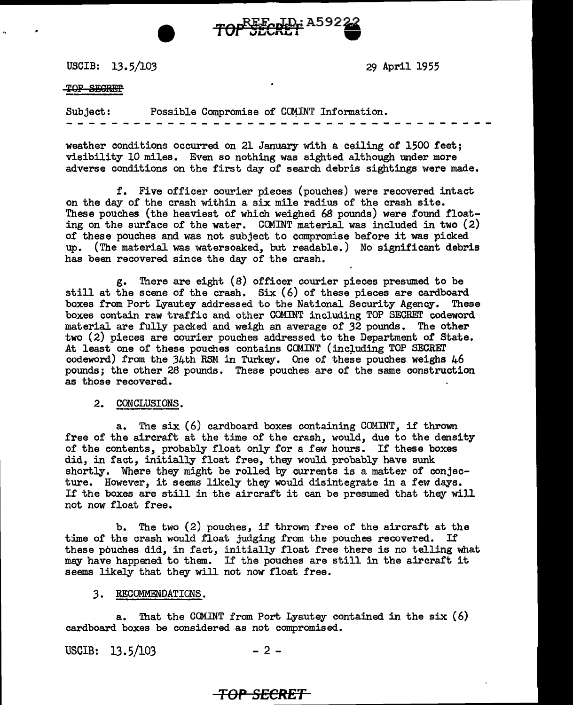USCIB: 13.5/103

29 April 1955

#### TOP SEQREP

Subject: Possible Compromise of COMINT Information.

TOPSECRET A59222

weather conditions occurred on 21 January with a ceiling of 1500 feet; visibility 10 miles. Even so nothing was sighted although under more adverse conditions on the first day of search debris sightings were made.

£. Five officer courier pieces (pouches) were recovered intact on the day of the crash within a six mile radius of the crash site. These pouches (the heaviest of which weighed *6B* pounds) were found floating on the surface of the water. COMINT material was included in two  $(2)$ of these pouches and was not subject to compromise before it was picked up. (The material was watersoaked, but readable.) No significant debris has been recovered since the day of the crash.

g. There are eight (B) officer courier pieces presumed to be still at the scene of the crash.  $Six (6)$  of these pieces are cardboard boxes from Port Lyautey addressed to the National Security Agency. These boxes from Port Lyautey addressed to the National Security Agency. boxes contain raw traffic and other COMINT including TOP SECRET codeword material are fully packed and weigh an average of 32 pounds. The other two (2) pieces are courier pouches addressed to the Department of State. At least one of these pouches contains COMINT (including TOP SECRET codeword) from the  $34th$  RSM in Turkey. One of these pouches weighs  $46$ pounds; the other 28 pounds. These pouches are of the same construction as those recovered.

#### 2. CONCLUSIONS.

a. The six (6) cardboard boxes containing COMINT, if thrown free of the aircraft at the time of the crash, would, due to the density of the contents, probably float only for a few hours. If these boxes did, in fact, initially float free, they would probably have sunk shortly. Where they might be rolled by currents is a matter of conjecture. However, it seems likely they would disintegrate in a few days. If the boxes are still in the aircraft it can be presumed that they will not now float free.

b. The two  $(2)$  pouches, if thrown free of the aircraft at the time of the crash would float judging from the pouches recovered. If these pouches did, in fact, initially float free there is no telling what may have happened to them. If the pouches are still in the aircraft it seems likely that they will not now float free.

### *3.* RECOMMENDATIONS.

a. That the COMINT from Port Lyautey contained in the  $six(6)$ cardboard boxes be considered as not compromised.

USCIB:  $13.5/103$  - 2 -

## *TOP SECRET*